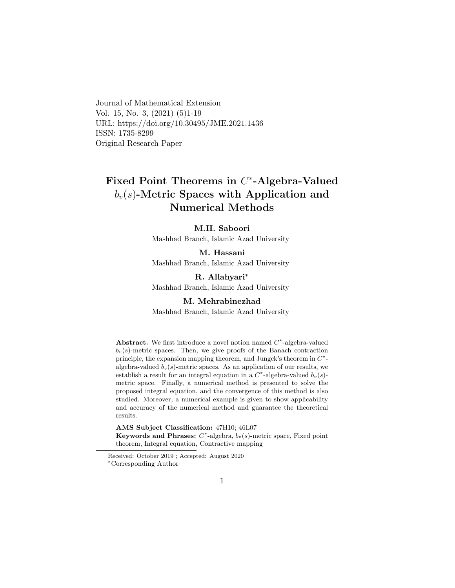Journal of Mathematical Extension Vol. 15, No. 3, (2021) (5)1-19 URL: https://doi.org/10.30495/JME.2021.1436 ISSN: 1735-8299 Original Research Paper

# Fixed Point Theorems in C<sup>\*</sup>-Algebra-Valued  $b_v(s)$ -Metric Spaces with Application and Numerical Methods

#### M.H. Saboori

Mashhad Branch, Islamic Azad University

M. Hassani Mashhad Branch, Islamic Azad University

R. Allahyari[∗](#page-0-0) Mashhad Branch, Islamic Azad University

M. Mehrabinezhad Mashhad Branch, Islamic Azad University

Abstract. We first introduce a novel notion named  $C^*$ -algebra-valued  $b_v(s)$ -metric spaces. Then, we give proofs of the Banach contraction principle, the expansion mapping theorem, and Jungck's theorem in  $C^*$ algebra-valued  $b_v(s)$ -metric spaces. As an application of our results, we establish a result for an integral equation in a  $C^*$ -algebra-valued  $b_v(s)$ metric space. Finally, a numerical method is presented to solve the proposed integral equation, and the convergence of this method is also studied. Moreover, a numerical example is given to show applicability and accuracy of the numerical method and guarantee the theoretical results.

AMS Subject Classification: 47H10; 46L07 Keywords and Phrases:  $C^*$ -algebra,  $b_v(s)$ -metric space, Fixed point theorem, Integral equation, Contractive mapping

<span id="page-0-0"></span>Received: October 2019 ; Accepted: August 2020 <sup>∗</sup>Corresponding Author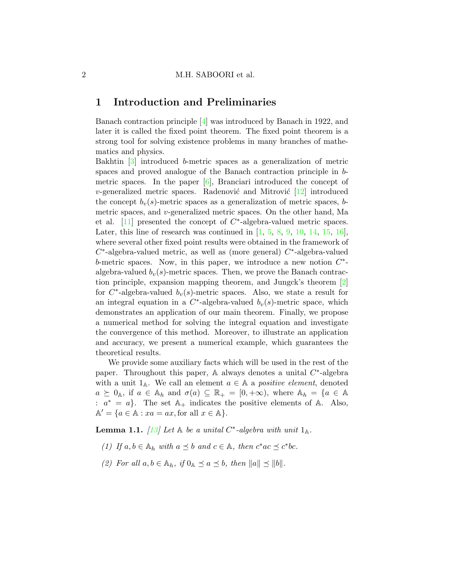### 1 Introduction and Preliminaries

Banach contraction principle [\[4\]](#page-16-0) was introduced by Banach in 1922, and later it is called the fixed point theorem. The fixed point theorem is a strong tool for solving existence problems in many branches of mathematics and physics.

Bakhtin [\[3\]](#page-16-1) introduced b-metric spaces as a generalization of metric spaces and proved analogue of the Banach contraction principle in bmetric spaces. In the paper  $[6]$ , Branciari introduced the concept of *v*-generalized metric spaces. Radenović and Mitrović  $[12]$  introduced the concept  $b_v(s)$ -metric spaces as a generalization of metric spaces, bmetric spaces, and v-generalized metric spaces. On the other hand, Ma et al.  $[11]$  presented the concept of  $C^*$ -algebra-valued metric spaces. Later, this line of research was continued in  $[1, 5, 8, 9, 10, 14, 15, 16]$  $[1, 5, 8, 9, 10, 14, 15, 16]$  $[1, 5, 8, 9, 10, 14, 15, 16]$  $[1, 5, 8, 9, 10, 14, 15, 16]$  $[1, 5, 8, 9, 10, 14, 15, 16]$  $[1, 5, 8, 9, 10, 14, 15, 16]$  $[1, 5, 8, 9, 10, 14, 15, 16]$  $[1, 5, 8, 9, 10, 14, 15, 16]$  $[1, 5, 8, 9, 10, 14, 15, 16]$  $[1, 5, 8, 9, 10, 14, 15, 16]$  $[1, 5, 8, 9, 10, 14, 15, 16]$  $[1, 5, 8, 9, 10, 14, 15, 16]$  $[1, 5, 8, 9, 10, 14, 15, 16]$  $[1, 5, 8, 9, 10, 14, 15, 16]$  $[1, 5, 8, 9, 10, 14, 15, 16]$ , where several other fixed point results were obtained in the framework of  $C^*$ -algebra-valued metric, as well as (more general)  $C^*$ -algebra-valued b-metric spaces. Now, in this paper, we introduce a new notion  $C^*$ algebra-valued  $b_v(s)$ -metric spaces. Then, we prove the Banach contraction principle, expansion mapping theorem, and Jungck's theorem [\[2\]](#page-16-7) for  $C^*$ -algebra-valued  $b_v(s)$ -metric spaces. Also, we state a result for an integral equation in a  $C^*$ -algebra-valued  $b_v(s)$ -metric space, which demonstrates an application of our main theorem. Finally, we propose a numerical method for solving the integral equation and investigate the convergence of this method. Moreover, to illustrate an application and accuracy, we present a numerical example, which guarantees the theoretical results.

We provide some auxiliary facts which will be used in the rest of the paper. Throughout this paper,  $A$  always denotes a unital  $C^*$ -algebra with a unit  $1_A$ . We call an element  $a \in A$  a *positive element*, denoted  $a \succeq 0_A$ , if  $a \in \mathbb{A}_h$  and  $\sigma(a) \subseteq \mathbb{R}_+ = [0, +\infty)$ , where  $\mathbb{A}_h = \{a \in \mathbb{A}_h\}$ :  $a^* = a$ . The set  $\mathbb{A}_+$  indicates the positive elements of  $\mathbb{A}_+$ . Also,  $\mathbb{A}' = \{a \in \mathbb{A} : xa = ax, \text{for all } x \in \mathbb{A}\}.$ 

<span id="page-1-0"></span>**Lemma 1.1.** [\[13\]](#page-17-6) Let  $\mathbb A$  be a unital C<sup>\*</sup>-algebra with unit  $1_{\mathbb A}$ .

- (1) If  $a, b \in \mathbb{A}_h$  with  $a \preceq b$  and  $c \in \mathbb{A}$ , then  $c^*ac \preceq c^*bc$ .
- (2) For all  $a, b \in A_h$ , if  $0_A \preceq a \preceq b$ , then  $||a|| \preceq ||b||$ .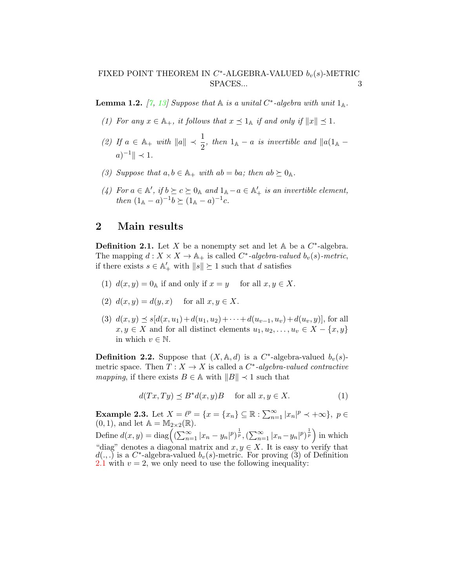<span id="page-2-2"></span>**Lemma 1.2.** [\[7,](#page-16-8) [13\]](#page-17-6) Suppose that  $\mathbb A$  is a unital C<sup>\*</sup>-algebra with unit  $1_{\mathbb A}$ .

- (1) For any  $x \in \mathbb{A}_+$ , it follows that  $x \preceq 1_\mathbb{A}$  if and only if  $||x|| \preceq 1$ .
- (2) If  $a \in \mathbb{A}_+$  with  $||a|| \prec \frac{1}{2}$ , then  $1_{\mathbb{A}} a$  is invertible and  $||a(1_{\mathbb{A}} a||)$  $a)^{-1} \| \prec 1.$
- (3) Suppose that  $a, b \in \mathbb{A}_+$  with  $ab = ba$ ; then  $ab \succeq 0_{\mathbb{A}}$ .
- (4) For  $a \in \mathbb{A}'$ , if  $b \succeq c \succeq 0_{\mathbb{A}}$  and  $1_{\mathbb{A}} a \in \mathbb{A}'_+$  is an invertible element, then  $(1_A - a)^{-1}b \succeq (1_A - a)^{-1}c$ .

# 2 Main results

<span id="page-2-0"></span>**Definition 2.1.** Let X be a nonempty set and let  $\mathbb{A}$  be a  $C^*$ -algebra. The mapping  $d: X \times X \to \mathbb{A}_+$  is called  $C^*$ -algebra-valued  $b_v(s)$ -metric, if there exists  $s \in \mathbb{A}'_+$  with  $||s|| \succeq 1$  such that d satisfies

- (1)  $d(x, y) = 0$ <sup>A</sup> if and only if  $x = y$  for all  $x, y \in X$ .
- (2)  $d(x, y) = d(y, x)$  for all  $x, y \in X$ .
- (3)  $d(x, y) \preceq s[d(x, u_1)+d(u_1, u_2)+\cdots+d(u_{v-1}, u_v)+d(u_v, y)]$ , for all  $x, y \in X$  and for all distinct elements  $u_1, u_2, \ldots, u_v \in X - \{x, y\}$ in which  $v \in \mathbb{N}$ .

**Definition 2.2.** Suppose that  $(X, \mathbb{A}, d)$  is a C<sup>\*</sup>-algebra-valued  $b_v(s)$ metric space. Then  $T: X \to X$  is called a  $C^*$ -algebra-valued contractive mapping, if there exists  $B \in A$  with  $||B|| \prec 1$  such that

<span id="page-2-1"></span>
$$
d(Tx, Ty) \preceq B^*d(x, y)B \quad \text{for all } x, y \in X. \tag{1}
$$

**Example 2.3.** Let  $X = \ell^p = \{x = \{x_n\} \subseteq \mathbb{R} : \sum_{n=1}^{\infty} |x_n|^p \prec +\infty\}, p \in$  $(0, 1)$ , and let  $\mathbb{A} = \mathbb{M}_{2 \times 2}(\mathbb{R})$ .

Define  $d(x, y) = \text{diag}\left( (\sum_{n=1}^{\infty} |x_n - y_n|^p)^{\frac{1}{p}}, (\sum_{n=1}^{\infty} |x_n - y_n|^p)^{\frac{1}{p}} \right)$  in which "diag" denotes a diagonal matrix and  $x, y \in X$ . It is easy to verify that  $d(.,.)$  is a C<sup>\*</sup>-algebra-valued  $b_v(s)$ -metric. For proving (3) of Definition [2.1](#page-2-0) with  $v = 2$ , we only need to use the following inequality: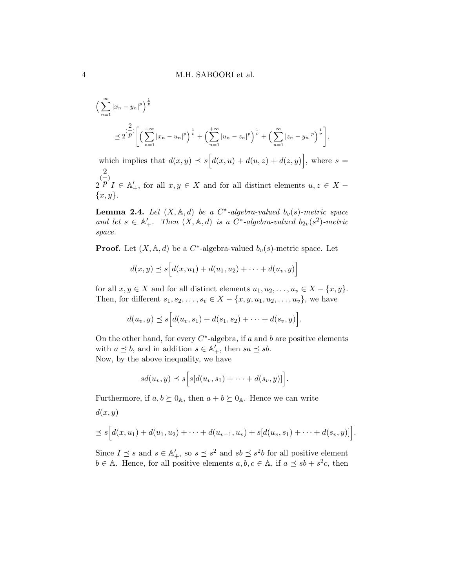$$
\left(\sum_{n=1}^{\infty} |x_n - y_n|^p\right)^{\frac{1}{p}} \n\leq 2 \frac{\binom{2}{p}}{\left[\left(\sum_{n=1}^{+\infty} |x_n - u_n|^p\right)^{\frac{1}{p}} + \left(\sum_{n=1}^{+\infty} |u_n - z_n|^p\right)^{\frac{1}{p}} + \left(\sum_{n=1}^{\infty} |z_n - y_n|^p\right)^{\frac{1}{p}}\right]},
$$

which implies that  $d(x, y) \preceq s [d(x, u) + d(u, z) + d(z, y)],$  where  $s =$ 2  $\frac{2}{(1)}$  $p \n\begin{cases} p \n\end{cases}$   $p \in \mathbb{A}'_+$ , for all  $x, y \in X$  and for all distinct elements  $u, z \in X$  $\{x,y\}.$ 

<span id="page-3-0"></span>**Lemma 2.4.** Let  $(X, \mathbb{A}, d)$  be a C<sup>\*</sup>-algebra-valued  $b_v(s)$ -metric space and let  $s \in \mathbb{A}'_+$ . Then  $(X, \mathbb{A}, d)$  is a  $C^*$ -algebra-valued  $b_{2v}(s^2)$ -metric space.

**Proof.** Let  $(X, \mathbb{A}, d)$  be a C<sup>\*</sup>-algebra-valued  $b_v(s)$ -metric space. Let

$$
d(x, y) \preceq s [d(x, u_1) + d(u_1, u_2) + \cdots + d(u_v, y)]
$$

for all  $x, y \in X$  and for all distinct elements  $u_1, u_2, \ldots, u_v \in X - \{x, y\}.$ Then, for different  $s_1, s_2, ..., s_v \in X - \{x, y, u_1, u_2, ..., u_v\}$ , we have

$$
d(u_v, y) \preceq s \Big[ d(u_v, s_1) + d(s_1, s_2) + \cdots + d(s_v, y) \Big].
$$

On the other hand, for every  $C^*$ -algebra, if a and b are positive elements with  $a \preceq b$ , and in addition  $s \in \mathbb{A}'_+$ , then  $sa \preceq sb$ . Now, by the above inequality, we have

$$
sd(u_v, y) \preceq s \Big[ s[d(u_v, s_1) + \cdots + d(s_v, y)] \Big].
$$

Furthermore, if  $a, b \succeq 0$ <sub>A</sub>, then  $a + b \succeq 0$ <sub>A</sub>. Hence we can write

$$
d(x, y)
$$
  
\n
$$
\leq s \Big[ d(x, u_1) + d(u_1, u_2) + \cdots + d(u_{v-1}, u_v) + s[d(u_v, s_1) + \cdots + d(s_v, y)] \Big].
$$

Since  $I \preceq s$  and  $s \in \mathbb{A}'_+$ , so  $s \preceq s^2$  and  $sb \preceq s^2b$  for all positive element  $b \in A$ . Hence, for all positive elements  $a, b, c \in A$ , if  $a \preceq sb + s^2c$ , then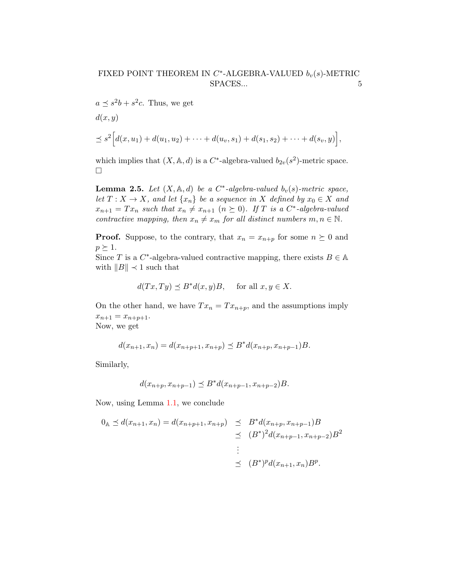$a \preceq s^2b + s^2c$ . Thus, we get  $d(x, y)$  $\preceq s^2 \Big[ d(x, u_1) + d(u_1, u_2) + \cdots + d(u_v, s_1) + d(s_1, s_2) + \cdots + d(s_v, y) \Big],$ 

which implies that  $(X, \mathbb{A}, d)$  is a  $C^*$ -algebra-valued  $b_{2v}(s^2)$ -metric space.  $\Box$ 

<span id="page-4-0"></span>**Lemma 2.5.** Let  $(X, \mathbb{A}, d)$  be a C<sup>\*</sup>-algebra-valued  $b_v(s)$ -metric space, let  $T: X \to X$ , and let  $\{x_n\}$  be a sequence in X defined by  $x_0 \in X$  and  $x_{n+1} = Tx_n$  such that  $x_n \neq x_{n+1}$   $(n \geq 0)$ . If T is a C<sup>\*</sup>-algebra-valued contractive mapping, then  $x_n \neq x_m$  for all distinct numbers  $m, n \in \mathbb{N}$ .

**Proof.** Suppose, to the contrary, that  $x_n = x_{n+p}$  for some  $n \succeq 0$  and  $p \succeq 1$ .

Since T is a  $C^*$ -algebra-valued contractive mapping, there exists  $B \in A$ with  $||B|| \prec 1$  such that

$$
d(Tx, Ty) \preceq B^*d(x, y)B, \quad \text{for all } x, y \in X.
$$

On the other hand, we have  $Tx_n = Tx_{n+p}$ , and the assumptions imply  $x_{n+1} = x_{n+p+1}.$ Now, we get

$$
d(x_{n+1}, x_n) = d(x_{n+p+1}, x_{n+p}) \le B^* d(x_{n+p}, x_{n+p-1})B.
$$

Similarly,

$$
d(x_{n+p}, x_{n+p-1}) \preceq B^* d(x_{n+p-1}, x_{n+p-2})B.
$$

Now, using Lemma [1.1,](#page-1-0) we conclude

$$
0_{\mathbb{A}} \preceq d(x_{n+1}, x_n) = d(x_{n+p+1}, x_{n+p}) \preceq B^* d(x_{n+p}, x_{n+p-1})B
$$
  

$$
\preceq (B^*)^2 d(x_{n+p-1}, x_{n+p-2})B^2
$$
  

$$
\preceq (B^*)^p d(x_{n+1}, x_n)B^p.
$$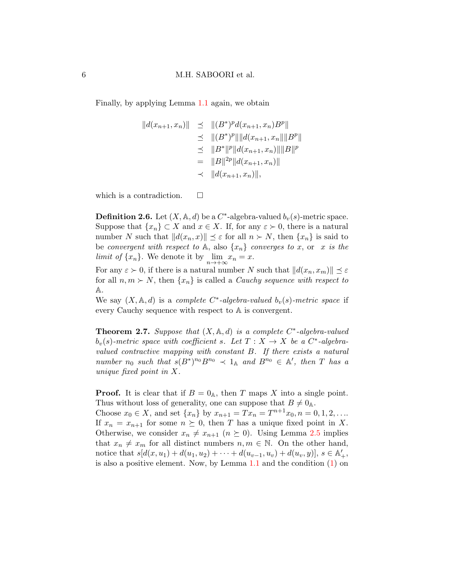Finally, by applying Lemma [1.1](#page-1-0) again, we obtain

$$
||d(x_{n+1}, x_n)|| \le ||(B^*)^p d(x_{n+1}, x_n)B^p||
$$
  
\n
$$
\le ||(B^*)^p|| ||d(x_{n+1}, x_n)|| ||B^p||
$$
  
\n
$$
\le ||B^*||^p ||d(x_{n+1}, x_n)|| ||B||^p
$$
  
\n
$$
= ||B||^{2p} ||d(x_{n+1}, x_n)||
$$
  
\n
$$
\le ||d(x_{n+1}, x_n)||,
$$

which is a contradiction.  $\square$ 

**Definition 2.6.** Let  $(X, \mathbb{A}, d)$  be a  $C^*$ -algebra-valued  $b_v(s)$ -metric space. Suppose that  $\{x_n\} \subset X$  and  $x \in X$ . If, for any  $\varepsilon \succ 0$ , there is a natural number N such that  $||d(x_n, x)|| \leq \varepsilon$  for all  $n \succ N$ , then  $\{x_n\}$  is said to be convergent with respect to A, also  $\{x_n\}$  converges to x, or x is the *limit of*  $\{x_n\}$ . We denote it by  $\lim_{n \to +\infty} x_n = x$ .

For any  $\varepsilon > 0$ , if there is a natural number N such that  $||d(x_n, x_m)|| \leq \varepsilon$ for all  $n, m \succ N$ , then  $\{x_n\}$  is called a *Cauchy sequence with respect to* A.

We say  $(X, \mathbb{A}, d)$  is a complete C<sup>\*</sup>-algebra-valued  $b_v(s)$ -metric space if every Cauchy sequence with respect to A is convergent.

<span id="page-5-0"></span>**Theorem 2.7.** Suppose that  $(X, \mathbb{A}, d)$  is a complete  $C^*$ -algebra-valued  $b_v(s)$ -metric space with coefficient s. Let  $T : X \to X$  be a  $C^*$ -algebravalued contractive mapping with constant B. If there exists a natural number  $n_0$  such that  $s(B^*)^{n_0}B^{n_0} \prec 1_{\mathbb{A}}$  and  $B^{n_0} \in \mathbb{A}'$ , then T has a unique fixed point in X.

**Proof.** It is clear that if  $B = 0_A$ , then T maps X into a single point. Thus without loss of generality, one can suppose that  $B \neq 0$ <sub>A</sub>.

Choose  $x_0 \in X$ , and set  $\{x_n\}$  by  $x_{n+1} = Tx_n = T^{n+1}x_0, n = 0, 1, 2, \ldots$ If  $x_n = x_{n+1}$  for some  $n \succeq 0$ , then T has a unique fixed point in X. Otherwise, we consider  $x_n \neq x_{n+1}$   $(n \geq 0)$ . Using Lemma [2.5](#page-4-0) implies that  $x_n \neq x_m$  for all distinct numbers  $n, m \in \mathbb{N}$ . On the other hand, notice that  $s[d(x, u_1) + d(u_1, u_2) + \cdots + d(u_{v-1}, u_v) + d(u_v, y)], s \in \mathbb{A}'_+,$ is also a positive element. Now, by Lemma [1.1](#page-1-0) and the condition [\(1\)](#page-2-1) on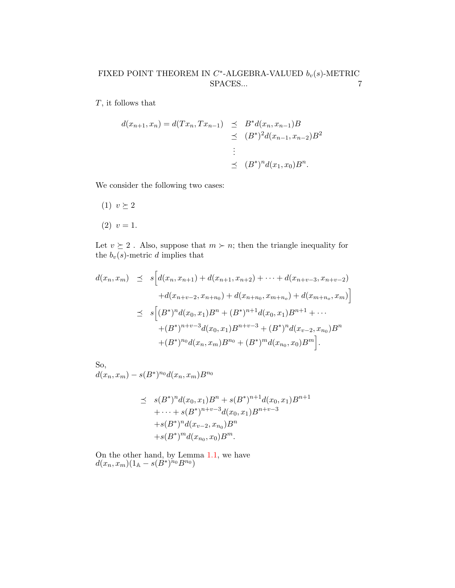T, it follows that

$$
d(x_{n+1}, x_n) = d(Tx_n, Tx_{n-1}) \leq B^* d(x_n, x_{n-1})B
$$
  
\n
$$
\leq (B^*)^2 d(x_{n-1}, x_{n-2})B^2
$$
  
\n
$$
\leq (B^*)^n d(x_1, x_0)B^n.
$$

We consider the following two cases:

(1)  $v \geq 2$  $(2)$   $v = 1$ .

Let  $v \succeq 2$ . Also, suppose that  $m \succ n$ ; then the triangle inequality for the  $b_v(s)$ -metric d implies that

$$
d(x_n, x_m) \leq s \Big[ d(x_n, x_{n+1}) + d(x_{n+1}, x_{n+2}) + \cdots + d(x_{n+v-3}, x_{n+v-2})
$$
  
+ 
$$
d(x_{n+v-2}, x_{n+n_0}) + d(x_{n+n_0}, x_{m+n_0}) + d(x_{m+n_0}, x_m) \Big]
$$
  

$$
\leq s \Big[ (B^*)^n d(x_0, x_1) B^n + (B^*)^{n+1} d(x_0, x_1) B^{n+1} + \cdots
$$
  
+ 
$$
(B^*)^{n+v-3} d(x_0, x_1) B^{n+v-3} + (B^*)^n d(x_{v-2}, x_{n_0}) B^n
$$
  
+ 
$$
(B^*)^{n_0} d(x_n, x_m) B^{n_0} + (B^*)^m d(x_{n_0}, x_0) B^m \Big].
$$

So,  $d(x_n, x_m) - s(B^*)^{n_0} d(x_n, x_m) B^{n_0}$ 

$$
\leq s(B^*)^n d(x_0, x_1) B^n + s(B^*)^{n+1} d(x_0, x_1) B^{n+1} \n+ \cdots + s(B^*)^{n+v-3} d(x_0, x_1) B^{n+v-3} \n+ s(B^*)^n d(x_{v-2}, x_{n_0}) B^n \n+ s(B^*)^m d(x_{n_0}, x_0) B^m.
$$

On the other hand, by Lemma [1.1,](#page-1-0) we have  $d(x_n,x_m)(1_{\mathbb{A}} - s(\dot{B}^*)^{{\widetilde n}_0}B^{n_0})$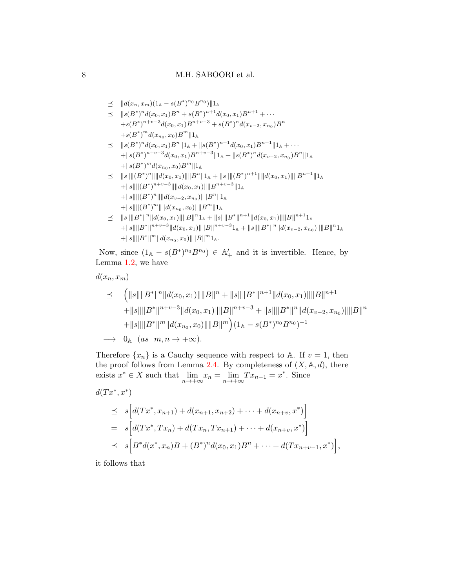$$
\preceq
$$
  $||d(x_n, x_m)(1_A - s(B^*)^{n_0}B^{n_0})||1_A$ 

- $\preceq$   $||s(B^*)^n d(x_0, x_1)B^n + s(B^*)^{n+1} d(x_0, x_1)B^{n+1} + \cdots$  $+s(B^*)^{n+v-3}d(x_0, x_1)B^{n+v-3} + s(B^*)^n d(x_{v-2}, x_{n_0})B^n$  $+s(B^*)^m d(x_{n_0}, x_0) B^m || 1_A$
- $\leq$   $||s(B^*)^n d(x_0, x_1)B^n ||1_A + ||s(B^*)^{n+1} d(x_0, x_1)B^{n+1} ||1_A + \cdots$  $+\|s(B^*)^{n+v-3}d(x_0, x_1)B^{n+v-3}\|_A+\|s(B^*)^nd(x_{v-2}, x_{n_0})B^n\|_A$  $+\|s(B^*)^md(x_{n_0},x_0)B^m\|_1$
- $\leq$   $\|s\| \|(B^*)^n\| \|d(x_0, x_1)\| \|B^n\| 1_\mathbb{A} + \|s\| \| (B^*)^{n+1}\| \|d(x_0, x_1)\| \|B^{n+1}\| 1_\mathbb{A}$  $+\|s\|\|(B^*)^{n+v-3}\|\|d(x_0,x_1)\|\|B^{n+v-3}\|1_{\mathbb{A}}$  $+\|s\|\|(B^*)^n\|\|d(x_{v-2},x_{n_0})\|\|B^n\|1_{\mathbb{A}}$  $+\|s\| \|(B^*)^m\| \|d(x_{n_0},x_0)\| \|B^m\| 1_{\mathbb{A}}$
- $\leq$   $||s|| ||B^*||^n ||d(x_0, x_1)|| ||B||^n 1_{\mathbb{A}} + ||s|| ||B^*||^{n+1} ||d(x_0, x_1)|| ||B||^{n+1} 1_{\mathbb{A}}$  $+ \|s\| \|B^*\|^{n+v-3} \|d(x_0, x_1)\| \|B\|^{n+v-3} 1_{\mathbb{A}} + \|s\| \|B^*\|^n \|d(x_{v-2}, x_{n_0})\| \|B\|^n 1_{\mathbb{A}}$  $+\|s\|\|B^*\|^m\|d(x_{n_0},x_0)\|\|B\|^m1_{\mathbb{A}}.$

Now, since  $(1_A - s(B^*)^{n_0}B^{n_0}) \in \mathbb{A}'_+$  and it is invertible. Hence, by Lemma [1.2,](#page-2-2) we have

 $d(x_n, x_m)$ 

$$
\leq \left( \|s\| \|B^*\|^n \|d(x_0, x_1)\| \|B\|^n + \|s\| \|B^*\|^{n+1} \|d(x_0, x_1)\| \|B\|^{n+1} + \|s\| \|B^*\|^{n+v-3} \|d(x_0, x_1)\| \|B\|^{n+v-3} + \|s\| \|B^*\|^n \|d(x_{v-2}, x_{n_0})\| \|B\|^n + \|s\| \|B^*\|^m \|d(x_{n_0}, x_0)\| \|B\|^m \right) (1_A - s(B^*)^{n_0} B^{n_0})^{-1}
$$
  
\n
$$
\longrightarrow 0_A \quad (as \quad m, n \to +\infty).
$$

Therefore  $\{x_n\}$  is a Cauchy sequence with respect to A. If  $v = 1$ , then the proof follows from Lemma [2.4.](#page-3-0) By completeness of  $(X, \mathbb{A}, d)$ , there exists  $x^* \in X$  such that  $\lim_{n \to +\infty} x_n = \lim_{n \to +\infty} Tx_{n-1} = x^*$ . Since

$$
d(Tx^*, x^*)
$$
  
\n
$$
\leq s \Big[ d(Tx^*, x_{n+1}) + d(x_{n+1}, x_{n+2}) + \cdots + d(x_{n+v}, x^*) \Big]
$$
  
\n
$$
= s \Big[ d(Tx^*, Tx_n) + d(Tx_n, Tx_{n+1}) + \cdots + d(x_{n+v}, x^*) \Big]
$$
  
\n
$$
\leq s \Big[ B^* d(x^*, x_n) B + (B^*)^n d(x_0, x_1) B^n + \cdots + d(Tx_{n+v-1}, x^*) \Big],
$$

it follows that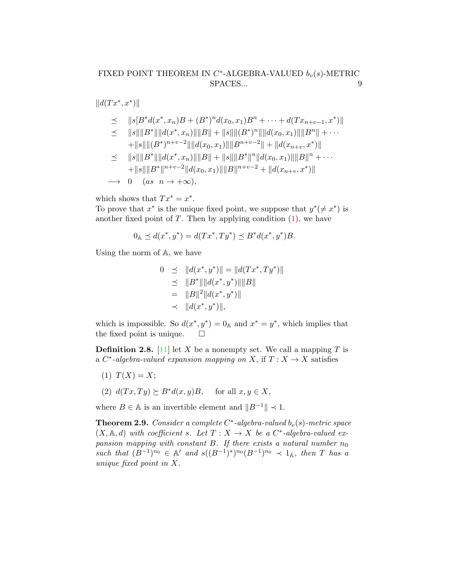$||d(Tx^*, x^*)||$ 

$$
\leq \quad ||s[B^*d(x^*,x_n)B + (B^*)^n d(x_0,x_1)B^n + \cdots + d(Tx_{n+v-1},x^*)||
$$

 $\leq$   $||s|| ||B^*|| ||d(x^*, x_n)|| ||B|| + ||s|| ||(B^*)^n|| ||d(x_0, x_1)|| ||B^n|| + \cdots$  $*$  \  $\Box$ 

$$
+||s||||(B^*)^{n+v-2}||||d(x_0, x_1)||||B^{n+v-2}|| + ||d(x_{n+v}, x^*)||
$$
  
\n
$$
\leq ||s|| ||B^*|| ||d(x^*, x_n)|| ||B|| + ||s|| ||B^*||^n ||d(x_0, x_1)|| ||B||^n + \cdots
$$
  
\n
$$
+||s|| ||B^*||^{n+v-2} ||d(x_0, x_1)|| ||B||^{n+v-2} + ||d(x_{n+v}, x^*)||
$$

$$
\longrightarrow 0 \quad (as \ n \rightarrow +\infty),
$$

which shows that  $Tx^* = x^*$ .

To prove that  $x^*$  is the unique fixed point, we suppose that  $y^*(\neq x^*)$  is another fixed point of  $T$ . Then by applying condition  $(1)$ , we have

$$
0_{\mathbb{A}} \preceq d(x^*, y^*) = d(Tx^*, Ty^*) \preceq B^*d(x^*, y^*)B.
$$

Using the norm of A, we have

$$
0 \preceq ||d(x^*, y^*)|| = ||d(Tx^*, Ty^*)||
$$
  
\n
$$
\preceq ||B^*|| ||d(x^*, y^*)|| ||B||
$$
  
\n
$$
= ||B||^2 ||d(x^*, y^*)||
$$
  
\n
$$
\prec ||d(x^*, y^*)||,
$$

which is impossible. So  $d(x^*, y^*) = 0$ <sup>A</sup> and  $x^* = y^*$ , which implies that the fixed point is unique.  $\Box$ 

<span id="page-8-0"></span>**Definition 2.8.** [\[11\]](#page-17-1) let X be a nonempty set. We call a mapping T is a  $C^*$ -algebra-valued expansion mapping on X, if  $T : X \to X$  satisfies

- (1)  $T(X) = X;$
- (2)  $d(Tx,Ty) \succeq B^*d(x,y)B$ , for all  $x, y \in X$ ,

where  $B \in A$  is an invertible element and  $||B^{-1}|| \prec 1$ .

**Theorem 2.9.** Consider a complete  $C^*$ -algebra-valued  $b_v(s)$ -metric space  $(X, \mathbb{A}, d)$  with coefficient s. Let  $T : X \to X$  be a  $C^*$ -algebra-valued expansion mapping with constant B. If there exists a natural number  $n_0$ such that  $(B^{-1})^{n_0} \in A'$  and  $s((B^{-1})^*)^{n_0}(B^{-1})^{n_0} \prec 1_A$ , then T has a unique fixed point in X.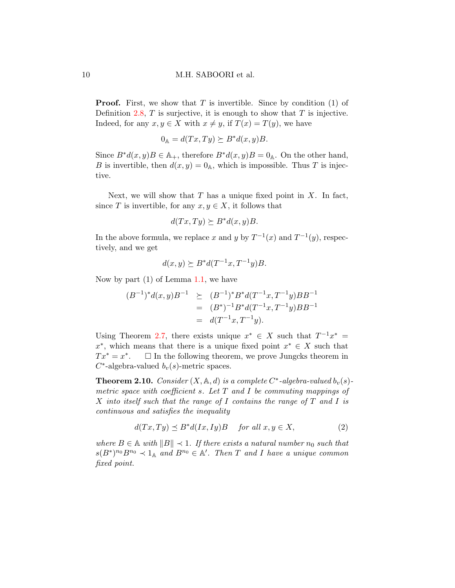**Proof.** First, we show that T is invertible. Since by condition  $(1)$  of Definition [2.8,](#page-8-0)  $T$  is surjective, it is enough to show that  $T$  is injective. Indeed, for any  $x, y \in X$  with  $x \neq y$ , if  $T(x) = T(y)$ , we have

$$
0_{\mathbb{A}} = d(Tx, Ty) \succeq B^*d(x, y)B.
$$

Since  $B^*d(x,y)B \in \mathbb{A}_+$ , therefore  $B^*d(x,y)B = 0$ <sub>A</sub>. On the other hand, B is invertible, then  $d(x, y) = 0$ <sup>A</sup>, which is impossible. Thus T is injective.

Next, we will show that  $T$  has a unique fixed point in  $X$ . In fact, since T is invertible, for any  $x, y \in X$ , it follows that

$$
d(Tx,Ty) \succeq B^*d(x,y)B.
$$

In the above formula, we replace x and y by  $T^{-1}(x)$  and  $T^{-1}(y)$ , respectively, and we get

$$
d(x,y) \succeq B^* d(T^{-1}x, T^{-1}y)B.
$$

Now by part  $(1)$  of Lemma [1.1,](#page-1-0) we have

$$
(B^{-1})^* d(x, y) B^{-1} \ge (B^{-1})^* B^* d(T^{-1} x, T^{-1} y) B B^{-1}
$$
  
=  $(B^*)^{-1} B^* d(T^{-1} x, T^{-1} y) B B^{-1}$   
=  $d(T^{-1} x, T^{-1} y).$ 

Using Theorem [2.7,](#page-5-0) there exists unique  $x^* \in X$  such that  $T^{-1}x^* =$  $x^*$ , which means that there is a unique fixed point  $x^* \in X$  such that  $Tx^* = x^*$  $\Box$  In the following theorem, we prove Jungcks theorem in  $C^*$ -algebra-valued  $b_v(s)$ -metric spaces.

<span id="page-9-1"></span>**Theorem 2.10.** Consider  $(X, \mathbb{A}, d)$  is a complete C<sup>\*</sup>-algebra-valued  $b_v(s)$ metric space with coefficient s. Let  $T$  and  $I$  be commuting mappings of X into itself such that the range of I contains the range of  $T$  and  $I$  is continuous and satisfies the inequality

<span id="page-9-0"></span>
$$
d(Tx, Ty) \preceq B^*d(Ix, Iy)B \quad \text{for all } x, y \in X,
$$
 (2)

where  $B \in \mathbb{A}$  with  $||B|| \prec 1$ . If there exists a natural number  $n_0$  such that  $s(B^*)^{n_0}B^{n_0} \prec 1_{\mathbb{A}}$  and  $B^{n_0} \in \mathbb{A}'$ . Then T and I have a unique common fixed point.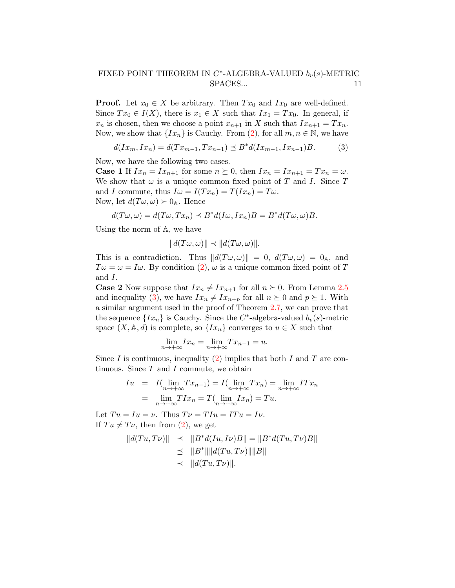**Proof.** Let  $x_0 \in X$  be arbitrary. Then  $Tx_0$  and  $Ix_0$  are well-defined. Since  $Tx_0 \in I(X)$ , there is  $x_1 \in X$  such that  $Ix_1 = Tx_0$ . In general, if  $x_n$  is chosen, then we choose a point  $x_{n+1}$  in X such that  $Ix_{n+1} = Tx_n$ . Now, we show that  $\{Ix_n\}$  is Cauchy. From [\(2\)](#page-9-0), for all  $m, n \in \mathbb{N}$ , we have

<span id="page-10-0"></span>
$$
d(Ix_m, Ix_n) = d(Tx_{m-1}, Tx_{n-1}) \le B^*d(Ix_{m-1}, Ix_{n-1})B. \tag{3}
$$

Now, we have the following two cases.

**Case 1** If  $Ix_n = Ix_{n+1}$  for some  $n \succeq 0$ , then  $Ix_n = Ix_{n+1} = Tx_n = \omega$ . We show that  $\omega$  is a unique common fixed point of T and I. Since T and I commute, thus  $I\omega = I(Tx_n) = T(Ix_n) = T\omega$ . Now, let  $d(T\omega,\omega) \succ 0_{\mathbb{A}}$ . Hence

$$
d(T\omega,\omega) = d(T\omega,Tx_n) \leq B^*d(I\omega,Ix_n)B = B^*d(T\omega,\omega)B.
$$

Using the norm of A, we have

$$
||d(T\omega,\omega)|| \prec ||d(T\omega,\omega)||.
$$

This is a contradiction. Thus  $||d(T\omega,\omega)|| = 0$ ,  $d(T\omega,\omega) = 0$ <sub>A</sub>, and  $T\omega = \omega = I\omega$ . By condition [\(2\)](#page-9-0),  $\omega$  is a unique common fixed point of T and I.

**Case 2** Now suppose that  $Ix_n \neq Ix_{n+1}$  for all  $n \succeq 0$ . From Lemma [2.5](#page-4-0) and inequality [\(3\)](#page-10-0), we have  $Ix_n \neq Ix_{n+p}$  for all  $n \succeq 0$  and  $p \succeq 1$ . With a similar argument used in the proof of Theorem [2.7,](#page-5-0) we can prove that the sequence  $\{Ix_n\}$  is Cauchy. Since the C<sup>\*</sup>-algebra-valued  $b_v(s)$ -metric space  $(X, \mathbb{A}, d)$  is complete, so  $\{Ix_n\}$  converges to  $u \in X$  such that

$$
\lim_{n \to +\infty} I x_n = \lim_{n \to +\infty} T x_{n-1} = u.
$$

Since I is continuous, inequality  $(2)$  implies that both I and T are continuous. Since  $T$  and  $I$  commute, we obtain

$$
Iu = I(\lim_{n \to +\infty} Tx_{n-1}) = I(\lim_{n \to +\infty} Tx_n) = \lim_{n \to +\infty} ITx_n
$$
  
= 
$$
\lim_{n \to +\infty} TIx_n = T(\lim_{n \to +\infty} Ix_n) = Tu.
$$

Let  $Tu = Iu = \nu$ . Thus  $T\nu = T Iu = ITu = Iv$ . If  $Tu \neq Tv$ , then from [\(2\)](#page-9-0), we get

$$
||d(Tu,T\nu)|| \leq ||B^*d(Iu,I\nu)B|| = ||B^*d(Tu,T\nu)B||
$$
  
\n
$$
\leq ||B^*|| ||d(Tu,T\nu) || ||B||
$$
  
\n
$$
\leq ||d(Tu,T\nu) ||.
$$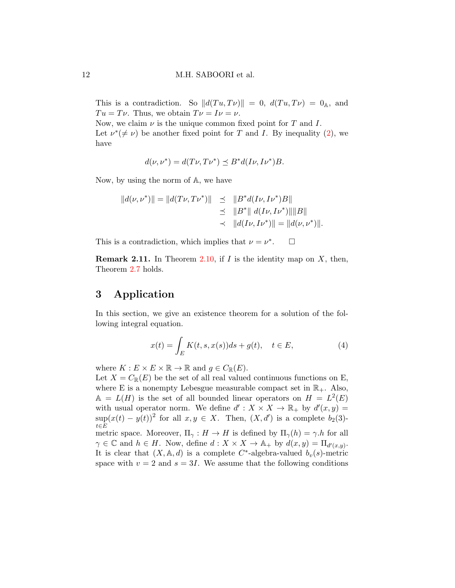This is a contradiction. So  $||d(T u, T\nu)|| = 0$ ,  $d(T u, T\nu) = 0$ <sub>A</sub>, and  $Tu = Tv$ . Thus, we obtain  $T\nu = I\nu = \nu$ .

Now, we claim  $\nu$  is the unique common fixed point for T and I. Let  $\nu^*(\neq \nu)$  be another fixed point for T and I. By inequality [\(2\)](#page-9-0), we have

$$
d(\nu, \nu^*) = d(T\nu, T\nu^*) \preceq B^* d(I\nu, I\nu^*)B.
$$

Now, by using the norm of A, we have

$$
||d(\nu, \nu^*)|| = ||d(T\nu, T\nu^*)|| \le ||B^*d(I\nu, I\nu^*)B||
$$
  

$$
\le ||B^*|| d(I\nu, I\nu^*)|| ||B||
$$
  

$$
\le ||d(I\nu, I\nu^*)|| = ||d(\nu, \nu^*)||.
$$

This is a contradiction, which implies that  $\nu = \nu^*$  $\Box$ 

**Remark 2.11.** In Theorem [2.10,](#page-9-1) if I is the identity map on  $X$ , then, Theorem [2.7](#page-5-0) holds.

# 3 Application

In this section, we give an existence theorem for a solution of the following integral equation.

<span id="page-11-0"></span>
$$
x(t) = \int_{E} K(t, s, x(s))ds + g(t), \quad t \in E,
$$
\n(4)

where  $K: E \times E \times \mathbb{R} \to \mathbb{R}$  and  $g \in C_{\mathbb{R}}(E)$ .

Let  $X = C_{\mathbb{R}}(E)$  be the set of all real valued continuous functions on E, where E is a nonempty Lebesgue measurable compact set in  $\mathbb{R}_+$ . Also,  $\mathbb{A} = L(H)$  is the set of all bounded linear operators on  $H = L^2(E)$ with usual operator norm. We define  $d' : X \times X \to \mathbb{R}_+$  by  $d'(x, y) =$  $\sup(x(t) - y(t))^2$  for all  $x, y \in X$ . Then,  $(X, d')$  is a complete  $b_2(3)$  $t\in E$ metric space. Moreover,  $\Pi_{\gamma}: H \to H$  is defined by  $\Pi_{\gamma}(h) = \gamma.h$  for all  $\gamma \in \mathbb{C}$  and  $h \in H$ . Now, define  $d: X \times X \to \mathbb{A}_+$  by  $d(x, y) = \Pi_{d'(x, y)}$ . It is clear that  $(X, \mathbb{A}, d)$  is a complete C<sup>\*</sup>-algebra-valued  $b_v(s)$ -metric space with  $v = 2$  and  $s = 3I$ . We assume that the following conditions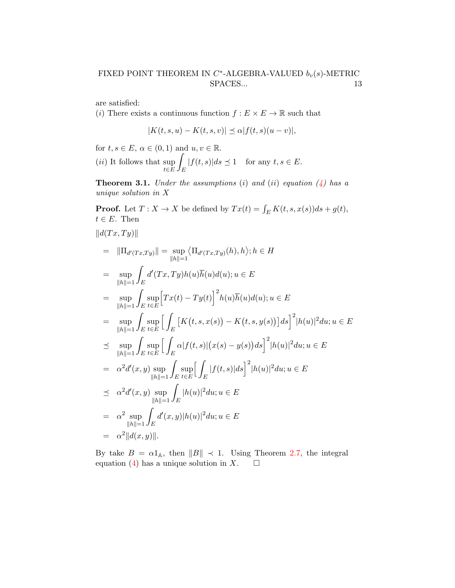are satisfied:

(i) There exists a continuous function  $f : E \times E \to \mathbb{R}$  such that

$$
|K(t,s,u) - K(t,s,v)| \leq \alpha |f(t,s)(u-v)|,
$$

for  $t, s \in E, \alpha \in (0, 1)$  and  $u, v \in \mathbb{R}$ .  $(ii)$  It follows that sup t∈E Z E  $|f(t, s)|ds \preceq 1$  for any  $t, s \in E$ .

<span id="page-12-0"></span>**Theorem 3.1.** Under the assumptions (i) and (ii) equation  $\left(\frac{1}{4}\right)$  has a unique solution in X

**Proof.** Let  $T : X \to X$  be defined by  $Tx(t) = \int_E K(t, s, x(s))ds + g(t)$ ,  $t \in E$ . Then

$$
||d(Tx,Ty)||
$$
  
\n
$$
= ||\Pi_{d'(Tx,Ty)}|| = \sup_{||h||=1} \langle \Pi_{d'(Tx,Ty)}(h), h \rangle; h \in H
$$
  
\n
$$
= \sup_{||h||=1} \int_{E} d'(Tx,Ty)h(u)\overline{h}(u)d(u); u \in E
$$
  
\n
$$
= \sup_{||h||=1} \int_{E} \sup_{t \in E} [Tx(t) - Ty(t)]^{2}h(u)\overline{h}(u)d(u); u \in E
$$
  
\n
$$
= \sup_{||h||=1} \int_{E} \sup_{t \in E} \left[ \int_{E} [K(t,s,x(s)) - K(t,s,y(s))]ds \right]^{2} |h(u)|^{2} du; u \in E
$$
  
\n
$$
\leq \sup_{||h||=1} \int_{E} \sup_{t \in E} \left[ \int_{E} \alpha |f(t,s)| (x(s) - y(s))ds \right]^{2} |h(u)|^{2} du; u \in E
$$
  
\n
$$
= \alpha^{2} d'(x,y) \sup_{||h||=1} \int_{E} \sup_{t \in E} \left[ \int_{E} |f(t,s)|ds \right]^{2} |h(u)|^{2} du; u \in E
$$
  
\n
$$
\leq \alpha^{2} d'(x,y) \sup_{||h||=1} \int_{E} |h(u)|^{2} du; u \in E
$$
  
\n
$$
= \alpha^{2} \sup_{||h||=1} \int_{E} d'(x,y)|h(u)|^{2} du; u \in E
$$
  
\n
$$
= \alpha^{2} ||d(x,y)||.
$$

By take  $B = \alpha 1_A$ , then  $||B|| \prec 1$ . Using Theorem [2.7,](#page-5-0) the integral equation [\(4\)](#page-11-0) has a unique solution in X.  $\Box$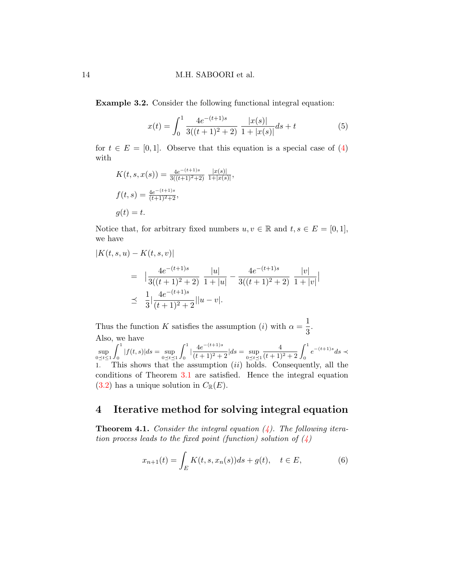<span id="page-13-0"></span>Example 3.2. Consider the following functional integral equation:

$$
x(t) = \int_0^1 \frac{4e^{-(t+1)s}}{3((t+1)^2+2)} \frac{|x(s)|}{1+|x(s)|} ds + t
$$
 (5)

 $\overline{\phantom{a}}$  $\overline{\phantom{a}}$ 

for  $t \in E = [0, 1]$ . Observe that this equation is a special case of [\(4\)](#page-11-0) with

$$
K(t, s, x(s)) = \frac{4e^{-(t+1)s}}{3((t+1)^{2}+2)} \frac{|x(s)|}{1+|x(s)|},
$$
  

$$
f(t, s) = \frac{4e^{-(t+1)s}}{(t+1)^{2}+2},
$$
  

$$
g(t) = t.
$$

Notice that, for arbitrary fixed numbers  $u, v \in \mathbb{R}$  and  $t, s \in E = [0, 1],$ we have

$$
|K(t, s, u) - K(t, s, v)|
$$
  
=  $\frac{4e^{-(t+1)s}}{3((t+1)^2 + 2)} \frac{|u|}{1+|u|} - \frac{4e^{-(t+1)s}}{3((t+1)^2 + 2)} \frac{|v|}{1+|v|}$   
 $\leq \frac{1}{3} \frac{4e^{-(t+1)s}}{(t+1)^2 + 2} ||u - v||.$ 

Thus the function K satisfies the assumption (*i*) with  $\alpha = \frac{1}{2}$  $\frac{1}{3}$ . Also, we have

 $\sup_{0 \leq t \leq 1}$  $\int_1^1$  $\int_{0}^{\pi} |f(t, s)| ds = \sup_{0 \le t \le 1}$  $\int_0^1$  $\int_0^1 \frac{4e^{-(t+1)s}}{(t+1)^2 +}$  $\frac{16}{(t+1)^2+2}$   $|ds = \sup_{0 \le t \le 1}$  $\frac{4}{(t+1)^2+2} \int_0^1 e^{-(t+1)s} ds$ 1. This shows that the assumption  $(ii)$  holds. Consequently, all the conditions of Theorem [3.1](#page-12-0) are satisfied. Hence the integral equation [\(3.2\)](#page-13-0) has a unique solution in  $C_{\mathbb{R}}(E)$ .

## 4 Iterative method for solving integral equation

**Theorem 4.1.** Consider the integral equation  $(4)$ . The following iteration process leads to the fixed point (function) solution of  $\langle 4 \rangle$ 

<span id="page-13-1"></span>
$$
x_{n+1}(t) = \int_{E} K(t, s, x_n(s))ds + g(t), \quad t \in E,
$$
 (6)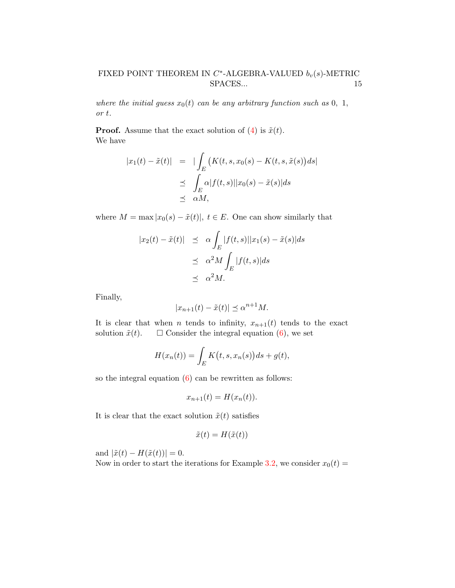where the initial guess  $x_0(t)$  can be any arbitrary function such as 0, 1, or t.

**Proof.** Assume that the exact solution of [\(4\)](#page-11-0) is  $\tilde{x}(t)$ . We have

$$
|x_1(t) - \tilde{x}(t)| = |\int_E (K(t, s, x_0(s) - K(t, s, \tilde{x}(s))ds)|
$$
  

$$
\leq \int_E \alpha |f(t, s)| |x_0(s) - \tilde{x}(s)| ds
$$
  

$$
\leq \alpha M,
$$

where  $M = \max |x_0(s) - \tilde{x}(t)|$ ,  $t \in E$ . One can show similarly that

$$
|x_2(t) - \tilde{x}(t)| \leq \alpha \int_E |f(t,s)||x_1(s) - \tilde{x}(s)|ds
$$
  

$$
\leq \alpha^2 M \int_E |f(t,s)|ds
$$
  

$$
\leq \alpha^2 M.
$$

Finally,

$$
|x_{n+1}(t) - \tilde{x}(t)| \le \alpha^{n+1} M.
$$

It is clear that when *n* tends to infinity,  $x_{n+1}(t)$  tends to the exact solution  $\tilde{x}(t)$ .  $\Box$  Consider the integral equation [\(6\)](#page-13-1), we set

$$
H(x_n(t)) = \int_E K(t, s, x_n(s))ds + g(t),
$$

so the integral equation  $(6)$  can be rewritten as follows:

$$
x_{n+1}(t) = H(x_n(t)).
$$

It is clear that the exact solution  $\tilde{x}(t)$  satisfies

$$
\tilde{x}(t) = H(\tilde{x}(t))
$$

and  $|\tilde{x}(t) - H(\tilde{x}(t))| = 0.$ 

Now in order to start the iterations for Example [3.2,](#page-13-0) we consider  $x_0(t) =$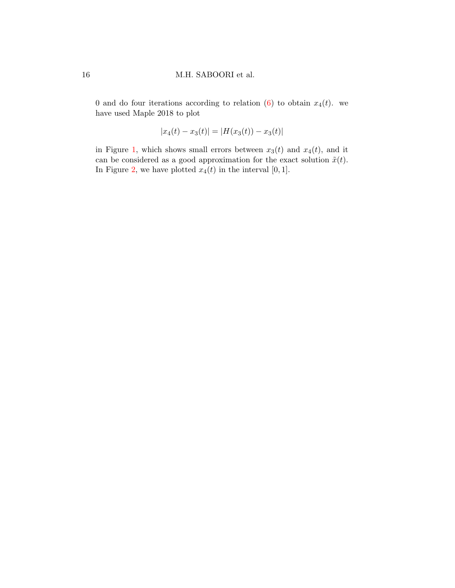0 and do four iterations according to relation [\(6\)](#page-13-1) to obtain  $x_4(t)$ . we have used Maple 2018 to plot

$$
|x_4(t) - x_3(t)| = |H(x_3(t)) - x_3(t)|
$$

in Figure [1,](#page-16-9) which shows small errors between  $x_3(t)$  and  $x_4(t)$ , and it can be considered as a good approximation for the exact solution  $\tilde{x}(t)$ . In Figure [2,](#page-16-10) we have plotted  $x_4(t)$  in the interval  $[0, 1]$ .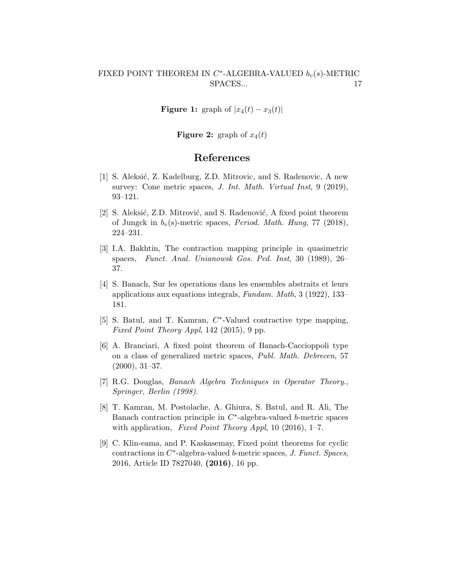<span id="page-16-9"></span>**Figure 1:** graph of  $|x_4(t) - x_3(t)|$ 

**Figure 2:** graph of  $x_4(t)$ 

#### References

- <span id="page-16-10"></span><span id="page-16-3"></span>[1] S. Aleksić, Z. Kadelburg, Z.D. Mitrovic, and S. Radenovic, A new survey: Cone metric spaces, *J. Int. Math. Virtual Inst*, 9 (2019), 93–121.
- <span id="page-16-7"></span>[2] S. Aleksić, Z.D. Mitrović, and S. Radenović, A fixed point theorem of Jungck in  $b_v(s)$ -metric spaces, *Period. Math. Hung*, 77 (2018), 224–231.
- <span id="page-16-1"></span>[3] I.A. Bakhtin, The contraction mapping principle in quasimetric spaces, Funct. Anal. Unianowsk Gos. Ped. Inst, 30 (1989), 26– 37.
- <span id="page-16-0"></span>[4] S. Banach, Sur les operations dans les ensembles abstraits et leurs applications aux equations integrals, Fundam. Math, 3 (1922), 133– 181.
- <span id="page-16-4"></span>[5] S. Batul, and T. Kamran,  $C^*$ -Valued contractive type mapping, Fixed Point Theory Appl, 142 (2015), 9 pp.
- <span id="page-16-2"></span>[6] A. Branciari, A fixed point theorem of Banach-Caccioppoli type on a class of generalized metric spaces, Publ. Math. Debrecen, 57 (2000), 31–37.
- <span id="page-16-8"></span>[7] R.G. Douglas, Banach Algebra Techniques in Operator Theory., Springer, Berlin (1998).
- <span id="page-16-5"></span>[8] T. Kamran, M. Postolache, A. Ghiura, S. Batul, and R. Ali, The Banach contraction principle in  $C^*$ -algebra-valued b-metric spaces with application, Fixed Point Theory Appl, 10 (2016), 1-7.
- <span id="page-16-6"></span>[9] C. Klin-eama, and P. Kaskasemay, Fixed point theorems for cyclic  $contractions in C*-algebra-valued b-metric spaces, J. Funct. Spaces,$ 2016, Article ID 7827040, (2016), 16 pp.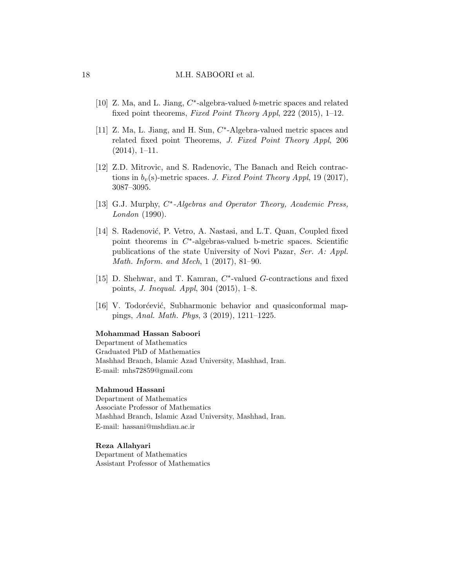#### 18 M.H. SABOORI et al.

- <span id="page-17-2"></span>[10] Z. Ma, and L. Jiang,  $C^*$ -algebra-valued b-metric spaces and related fixed point theorems, Fixed Point Theory Appl, 222 (2015), 1–12.
- <span id="page-17-1"></span>[11] Z. Ma, L. Jiang, and H. Sun, C\*-Algebra-valued metric spaces and related fixed point Theorems, J. Fixed Point Theory Appl, 206  $(2014), 1-11.$
- <span id="page-17-0"></span>[12] Z.D. Mitrovic, and S. Radenovic, The Banach and Reich contractions in  $b_v(s)$ -metric spaces. J. Fixed Point Theory Appl, 19 (2017), 3087–3095.
- <span id="page-17-6"></span>[13] G.J. Murphy, C<sup>\*</sup>-Algebras and Operator Theory, Academic Press, London (1990).
- <span id="page-17-3"></span>[14] S. Radenović, P. Vetro, A. Nastasi, and L.T. Quan, Coupled fixed point theorems in  $C^*$ -algebras-valued b-metric spaces. Scientific publications of the state University of Novi Pazar, Ser. A: Appl. Math. Inform. and Mech, 1 (2017), 81–90.
- <span id="page-17-4"></span>[15] D. Shehwar, and T. Kamran,  $C^*$ -valued  $G$ -contractions and fixed points, J. Inequal. Appl, 304 (2015), 1–8.
- <span id="page-17-5"></span>[16] V. Todorćević, Subharmonic behavior and quasiconformal mappings, Anal. Math. Phys, 3 (2019), 1211–1225.

#### Mohammad Hassan Saboori

Department of Mathematics Graduated PhD of Mathematics Mashhad Branch, Islamic Azad University, Mashhad, Iran. E-mail: mhs72859@gmail.com

#### Mahmoud Hassani

Department of Mathematics Associate Professor of Mathematics Mashhad Branch, Islamic Azad University, Mashhad, Iran. E-mail: hassani@mshdiau.ac.ir

#### Reza Allahyari

Department of Mathematics Assistant Professor of Mathematics